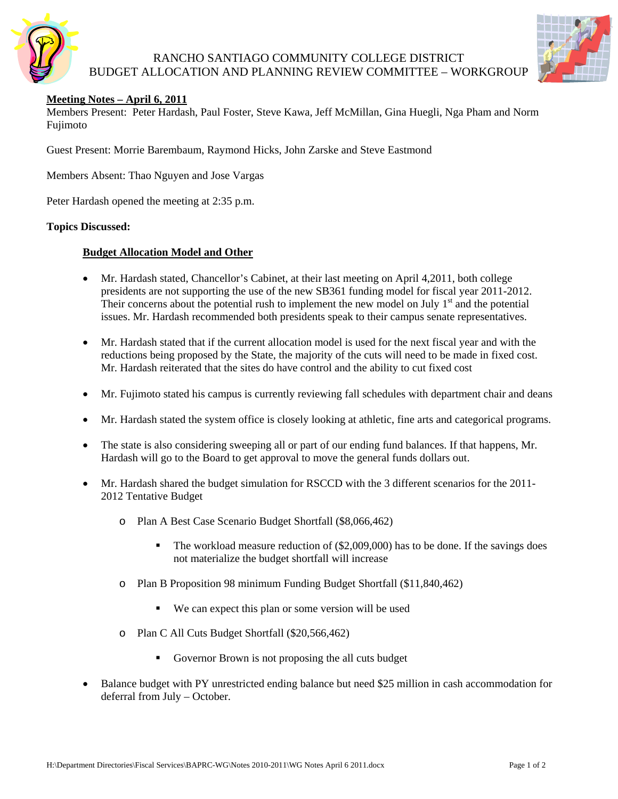

## RANCHO SANTIAGO COMMUNITY COLLEGE DISTRICT BUDGET ALLOCATION AND PLANNING REVIEW COMMITTEE – WORKGROUP



### **Meeting Notes – April 6, 2011**

Members Present: Peter Hardash, Paul Foster, Steve Kawa, Jeff McMillan, Gina Huegli, Nga Pham and Norm Fujimoto

Guest Present: Morrie Barembaum, Raymond Hicks, John Zarske and Steve Eastmond

Members Absent: Thao Nguyen and Jose Vargas

Peter Hardash opened the meeting at 2:35 p.m.

#### **Topics Discussed:**

#### **Budget Allocation Model and Other**

- Mr. Hardash stated, Chancellor's Cabinet, at their last meeting on April 4,2011, both college presidents are not supporting the use of the new SB361 funding model for fiscal year 2011-2012. Their concerns about the potential rush to implement the new model on July  $1<sup>st</sup>$  and the potential issues. Mr. Hardash recommended both presidents speak to their campus senate representatives.
- Mr. Hardash stated that if the current allocation model is used for the next fiscal year and with the reductions being proposed by the State, the majority of the cuts will need to be made in fixed cost. Mr. Hardash reiterated that the sites do have control and the ability to cut fixed cost
- Mr. Fujimoto stated his campus is currently reviewing fall schedules with department chair and deans
- Mr. Hardash stated the system office is closely looking at athletic, fine arts and categorical programs.
- The state is also considering sweeping all or part of our ending fund balances. If that happens, Mr. Hardash will go to the Board to get approval to move the general funds dollars out.
- Mr. Hardash shared the budget simulation for RSCCD with the 3 different scenarios for the 2011- 2012 Tentative Budget
	- o Plan A Best Case Scenario Budget Shortfall (\$8,066,462)
		- The workload measure reduction of (\$2,009,000) has to be done. If the savings does not materialize the budget shortfall will increase
	- o Plan B Proposition 98 minimum Funding Budget Shortfall (\$11,840,462)
		- We can expect this plan or some version will be used
	- o Plan C All Cuts Budget Shortfall (\$20,566,462)
		- Governor Brown is not proposing the all cuts budget
- Balance budget with PY unrestricted ending balance but need \$25 million in cash accommodation for deferral from July – October.